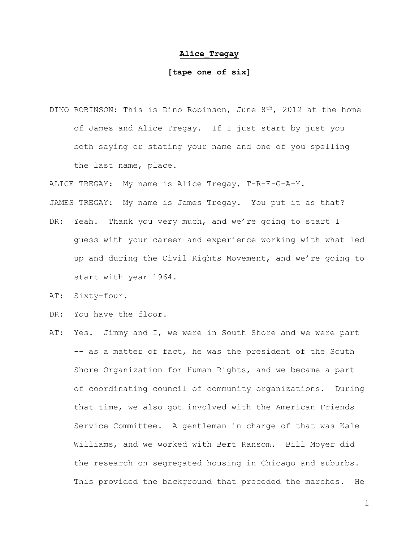## **Alice\_Tregay**

## **[tape one of six]**

DINO ROBINSON: This is Dino Robinson, June 8<sup>th</sup>, 2012 at the home of James and Alice Tregay. If I just start by just you both saying or stating your name and one of you spelling the last name, place.

ALICE TREGAY: My name is Alice Tregay, T-R-E-G-A-Y.

JAMES TREGAY: My name is James Tregay. You put it as that?

- DR: Yeah. Thank you very much, and we're going to start I guess with your career and experience working with what led up and during the Civil Rights Movement, and we're going to start with year 1964.
- AT: Sixty-four.
- DR: You have the floor.
- AT: Yes. Jimmy and I, we were in South Shore and we were part -- as a matter of fact, he was the president of the South Shore Organization for Human Rights, and we became a part of coordinating council of community organizations. During that time, we also got involved with the American Friends Service Committee. A gentleman in charge of that was Kale Williams, and we worked with Bert Ransom. Bill Moyer did the research on segregated housing in Chicago and suburbs. This provided the background that preceded the marches. He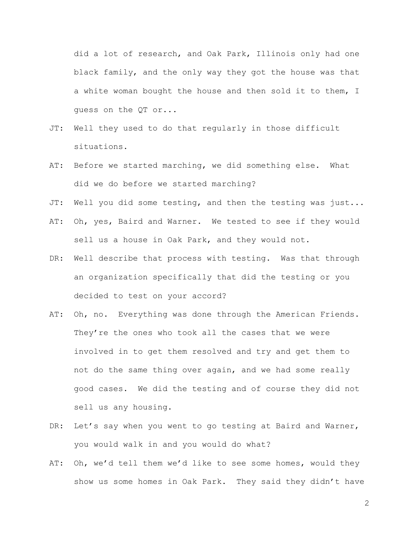did a lot of research, and Oak Park, Illinois only had one black family, and the only way they got the house was that a white woman bought the house and then sold it to them, I guess on the QT or...

- JT: Well they used to do that regularly in those difficult situations.
- AT: Before we started marching, we did something else. What did we do before we started marching?
- JT: Well you did some testing, and then the testing was just...
- AT: Oh, yes, Baird and Warner. We tested to see if they would sell us a house in Oak Park, and they would not.
- DR: Well describe that process with testing. Was that through an organization specifically that did the testing or you decided to test on your accord?
- AT: Oh, no. Everything was done through the American Friends. They're the ones who took all the cases that we were involved in to get them resolved and try and get them to not do the same thing over again, and we had some really good cases. We did the testing and of course they did not sell us any housing.
- DR: Let's say when you went to go testing at Baird and Warner, you would walk in and you would do what?
- AT: Oh, we'd tell them we'd like to see some homes, would they show us some homes in Oak Park. They said they didn't have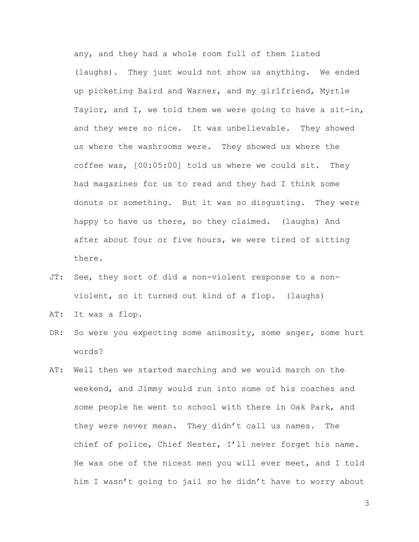any, and they had a whole room full of them listed (laughs). They just would not show us anything. We ended up picketing Baird and Warner, and my girlfriend, Myrtle Taylor, and I, we told them we were going to have a sit-in, and they were so nice. It was unbelievable. They showed us where the washrooms were. They showed us where the coffee was, [00:05:00] told us where we could sit. They had magazines for us to read and they had I think some donuts or something. But it was so disgusting. They were happy to have us there, so they claimed. (laughs) And after about four or five hours, we were tired of sitting there.

- JT: See, they sort of did a non-violent response to a nonviolent, so it turned out kind of a flop. (laughs)
- AT: It was a flop.
- DR: So were you expecting some animosity, some anger, some hurt words?
- AT: Well then we started marching and we would march on the weekend, and Jimmy would run into some of his coaches and some people he went to school with there in Oak Park, and they were never mean. They didn't call us names. The chief of police, Chief Nester, I'll never forget his name. He was one of the nicest men you will ever meet, and I told him I wasn't going to jail so he didn't have to worry about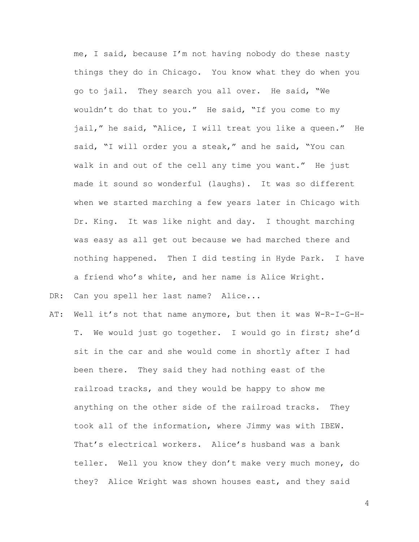me, I said, because I'm not having nobody do these nasty things they do in Chicago. You know what they do when you go to jail. They search you all over. He said, "We wouldn't do that to you." He said, "If you come to my jail," he said, "Alice, I will treat you like a queen." He said, "I will order you a steak," and he said, "You can walk in and out of the cell any time you want." He just made it sound so wonderful (laughs). It was so different when we started marching a few years later in Chicago with Dr. King. It was like night and day. I thought marching was easy as all get out because we had marched there and nothing happened. Then I did testing in Hyde Park. I have a friend who's white, and her name is Alice Wright.

DR: Can you spell her last name? Alice...

AT: Well it's not that name anymore, but then it was W-R-I-G-H-T. We would just go together. I would go in first; she'd sit in the car and she would come in shortly after I had been there. They said they had nothing east of the railroad tracks, and they would be happy to show me anything on the other side of the railroad tracks. They took all of the information, where Jimmy was with IBEW. That's electrical workers. Alice's husband was a bank teller. Well you know they don't make very much money, do they? Alice Wright was shown houses east, and they said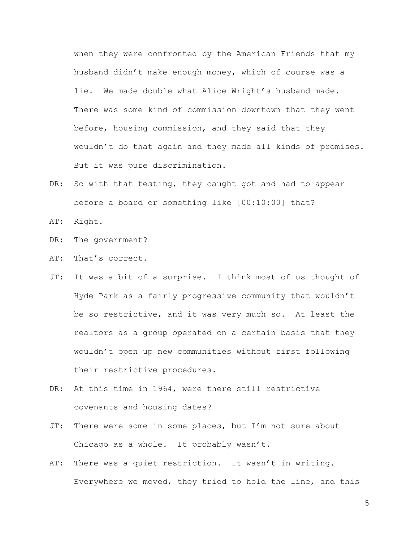when they were confronted by the American Friends that my husband didn't make enough money, which of course was a lie. We made double what Alice Wright's husband made. There was some kind of commission downtown that they went before, housing commission, and they said that they wouldn't do that again and they made all kinds of promises. But it was pure discrimination.

- DR: So with that testing, they caught got and had to appear before a board or something like [00:10:00] that?
- AT: Right.
- DR: The government?
- AT: That's correct.
- JT: It was a bit of a surprise. I think most of us thought of Hyde Park as a fairly progressive community that wouldn't be so restrictive, and it was very much so. At least the realtors as a group operated on a certain basis that they wouldn't open up new communities without first following their restrictive procedures.
- DR: At this time in 1964, were there still restrictive covenants and housing dates?
- JT: There were some in some places, but I'm not sure about Chicago as a whole. It probably wasn't.
- AT: There was a quiet restriction. It wasn't in writing. Everywhere we moved, they tried to hold the line, and this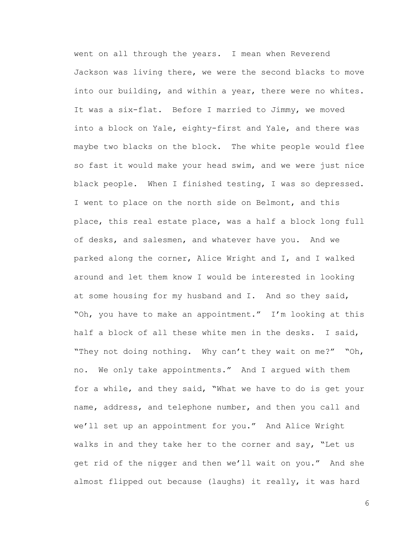went on all through the years. I mean when Reverend Jackson was living there, we were the second blacks to move into our building, and within a year, there were no whites. It was a six-flat. Before I married to Jimmy, we moved into a block on Yale, eighty-first and Yale, and there was maybe two blacks on the block. The white people would flee so fast it would make your head swim, and we were just nice black people. When I finished testing, I was so depressed. I went to place on the north side on Belmont, and this place, this real estate place, was a half a block long full of desks, and salesmen, and whatever have you. And we parked along the corner, Alice Wright and I, and I walked around and let them know I would be interested in looking at some housing for my husband and I. And so they said, "Oh, you have to make an appointment." I'm looking at this half a block of all these white men in the desks. I said, "They not doing nothing. Why can't they wait on me?" "Oh, no. We only take appointments." And I argued with them for a while, and they said, "What we have to do is get your name, address, and telephone number, and then you call and we'll set up an appointment for you." And Alice Wright walks in and they take her to the corner and say, "Let us get rid of the nigger and then we'll wait on you." And she almost flipped out because (laughs) it really, it was hard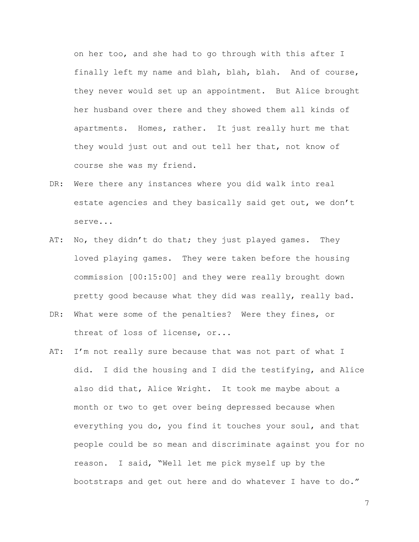on her too, and she had to go through with this after I finally left my name and blah, blah, blah. And of course, they never would set up an appointment. But Alice brought her husband over there and they showed them all kinds of apartments. Homes, rather. It just really hurt me that they would just out and out tell her that, not know of course she was my friend.

- DR: Were there any instances where you did walk into real estate agencies and they basically said get out, we don't serve...
- AT: No, they didn't do that; they just played games. They loved playing games. They were taken before the housing commission [00:15:00] and they were really brought down pretty good because what they did was really, really bad.
- DR: What were some of the penalties? Were they fines, or threat of loss of license, or...
- AT: I'm not really sure because that was not part of what I did. I did the housing and I did the testifying, and Alice also did that, Alice Wright. It took me maybe about a month or two to get over being depressed because when everything you do, you find it touches your soul, and that people could be so mean and discriminate against you for no reason. I said, "Well let me pick myself up by the bootstraps and get out here and do whatever I have to do."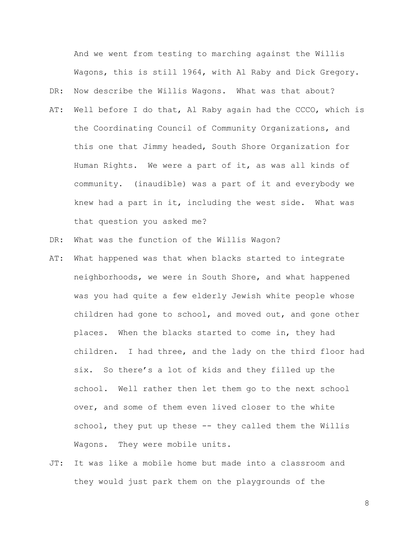And we went from testing to marching against the Willis Wagons, this is still 1964, with Al Raby and Dick Gregory. DR: Now describe the Willis Wagons. What was that about?

- AT: Well before I do that, Al Raby again had the CCCO, which is the Coordinating Council of Community Organizations, and this one that Jimmy headed, South Shore Organization for Human Rights. We were a part of it, as was all kinds of community. (inaudible) was a part of it and everybody we knew had a part in it, including the west side. What was that question you asked me?
- DR: What was the function of the Willis Wagon?
- AT: What happened was that when blacks started to integrate neighborhoods, we were in South Shore, and what happened was you had quite a few elderly Jewish white people whose children had gone to school, and moved out, and gone other places. When the blacks started to come in, they had children. I had three, and the lady on the third floor had six. So there's a lot of kids and they filled up the school. Well rather then let them go to the next school over, and some of them even lived closer to the white school, they put up these -- they called them the Willis Wagons. They were mobile units.
- JT: It was like a mobile home but made into a classroom and they would just park them on the playgrounds of the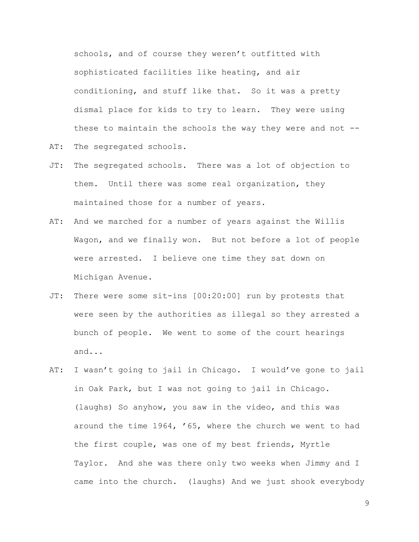schools, and of course they weren't outfitted with sophisticated facilities like heating, and air conditioning, and stuff like that. So it was a pretty dismal place for kids to try to learn. They were using these to maintain the schools the way they were and not -- AT: The segregated schools.

- JT: The segregated schools. There was a lot of objection to them. Until there was some real organization, they maintained those for a number of years.
- AT: And we marched for a number of years against the Willis Wagon, and we finally won. But not before a lot of people were arrested. I believe one time they sat down on Michigan Avenue.
- JT: There were some sit-ins [00:20:00] run by protests that were seen by the authorities as illegal so they arrested a bunch of people. We went to some of the court hearings and...
- AT: I wasn't going to jail in Chicago. I would've gone to jail in Oak Park, but I was not going to jail in Chicago. (laughs) So anyhow, you saw in the video, and this was around the time 1964, '65, where the church we went to had the first couple, was one of my best friends, Myrtle Taylor. And she was there only two weeks when Jimmy and I came into the church. (laughs) And we just shook everybody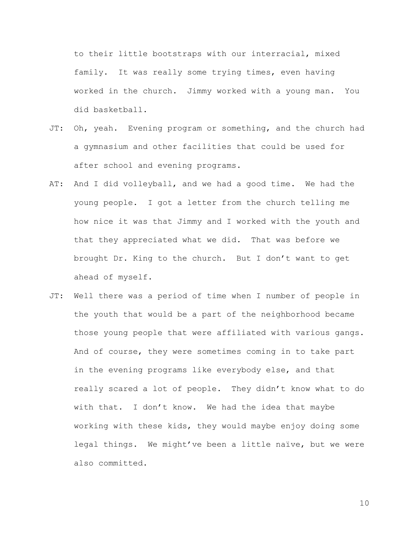to their little bootstraps with our interracial, mixed family. It was really some trying times, even having worked in the church. Jimmy worked with a young man. You did basketball.

- JT: Oh, yeah. Evening program or something, and the church had a gymnasium and other facilities that could be used for after school and evening programs.
- AT: And I did volleyball, and we had a good time. We had the young people. I got a letter from the church telling me how nice it was that Jimmy and I worked with the youth and that they appreciated what we did. That was before we brought Dr. King to the church. But I don't want to get ahead of myself.
- JT: Well there was a period of time when I number of people in the youth that would be a part of the neighborhood became those young people that were affiliated with various gangs. And of course, they were sometimes coming in to take part in the evening programs like everybody else, and that really scared a lot of people. They didn't know what to do with that. I don't know. We had the idea that maybe working with these kids, they would maybe enjoy doing some legal things. We might've been a little naïve, but we were also committed.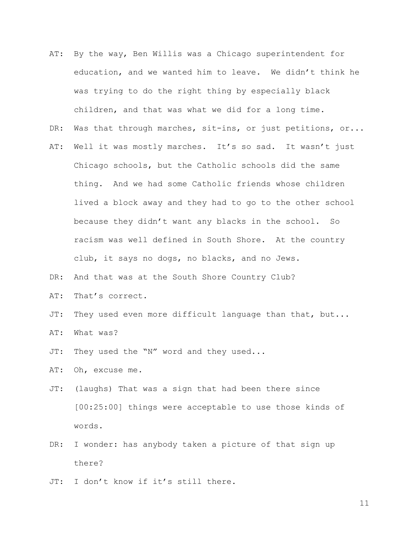- AT: By the way, Ben Willis was a Chicago superintendent for education, and we wanted him to leave. We didn't think he was trying to do the right thing by especially black children, and that was what we did for a long time.
- DR: Was that through marches, sit-ins, or just petitions, or...
- AT: Well it was mostly marches. It's so sad. It wasn't just Chicago schools, but the Catholic schools did the same thing. And we had some Catholic friends whose children lived a block away and they had to go to the other school because they didn't want any blacks in the school. So racism was well defined in South Shore. At the country club, it says no dogs, no blacks, and no Jews.
- DR: And that was at the South Shore Country Club?
- AT: That's correct.
- JT: They used even more difficult language than that, but...
- AT: What was?
- JT: They used the "N" word and they used...
- AT: Oh, excuse me.
- JT: (laughs) That was a sign that had been there since [00:25:00] things were acceptable to use those kinds of words.
- DR: I wonder: has anybody taken a picture of that sign up there?
- JT: I don't know if it's still there.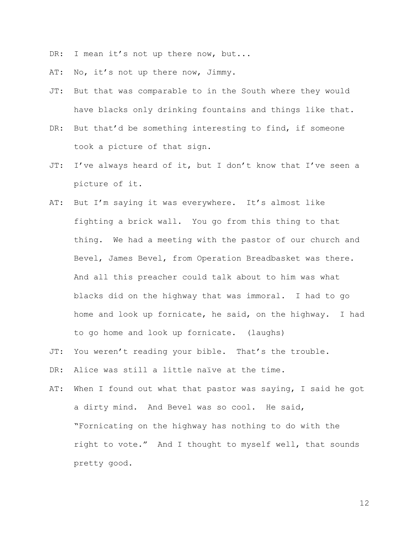DR: I mean it's not up there now, but...

AT: No, it's not up there now, Jimmy.

- JT: But that was comparable to in the South where they would have blacks only drinking fountains and things like that.
- DR: But that'd be something interesting to find, if someone took a picture of that sign.
- JT: I've always heard of it, but I don't know that I've seen a picture of it.
- AT: But I'm saying it was everywhere. It's almost like fighting a brick wall. You go from this thing to that thing. We had a meeting with the pastor of our church and Bevel, James Bevel, from Operation Breadbasket was there. And all this preacher could talk about to him was what blacks did on the highway that was immoral. I had to go home and look up fornicate, he said, on the highway. I had to go home and look up fornicate. (laughs)
- JT: You weren't reading your bible. That's the trouble.
- DR: Alice was still a little naïve at the time.
- AT: When I found out what that pastor was saying, I said he got a dirty mind. And Bevel was so cool. He said, "Fornicating on the highway has nothing to do with the right to vote." And I thought to myself well, that sounds pretty good.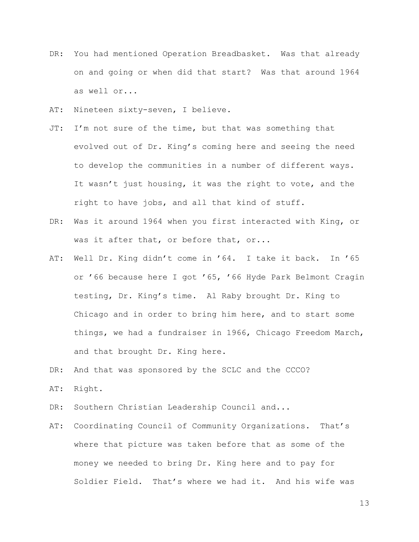- DR: You had mentioned Operation Breadbasket. Was that already on and going or when did that start? Was that around 1964 as well or...
- AT: Nineteen sixty-seven, I believe.
- JT: I'm not sure of the time, but that was something that evolved out of Dr. King's coming here and seeing the need to develop the communities in a number of different ways. It wasn't just housing, it was the right to vote, and the right to have jobs, and all that kind of stuff.
- DR: Was it around 1964 when you first interacted with King, or was it after that, or before that, or...
- AT: Well Dr. King didn't come in '64. I take it back. In '65 or '66 because here I got '65, '66 Hyde Park Belmont Cragin testing, Dr. King's time. Al Raby brought Dr. King to Chicago and in order to bring him here, and to start some things, we had a fundraiser in 1966, Chicago Freedom March, and that brought Dr. King here.
- DR: And that was sponsored by the SCLC and the CCCO?
- AT: Right.
- DR: Southern Christian Leadership Council and...
- AT: Coordinating Council of Community Organizations. That's where that picture was taken before that as some of the money we needed to bring Dr. King here and to pay for Soldier Field. That's where we had it. And his wife was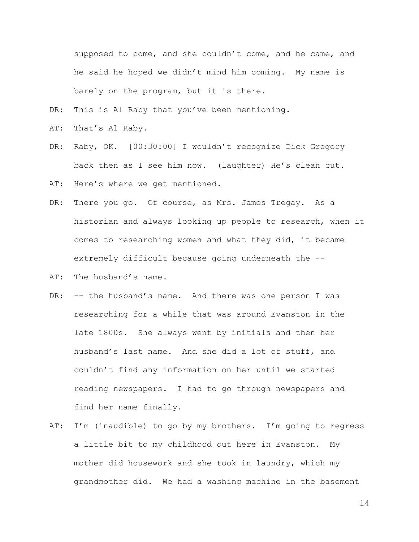supposed to come, and she couldn't come, and he came, and he said he hoped we didn't mind him coming. My name is barely on the program, but it is there.

- DR: This is Al Raby that you've been mentioning.
- AT: That's Al Raby.
- DR: Raby, OK. [00:30:00] I wouldn't recognize Dick Gregory back then as I see him now. (laughter) He's clean cut.
- AT: Here's where we get mentioned.
- DR: There you go. Of course, as Mrs. James Tregay. As a historian and always looking up people to research, when it comes to researching women and what they did, it became extremely difficult because going underneath the --
- AT: The husband's name.
- DR: -- the husband's name. And there was one person I was researching for a while that was around Evanston in the late 1800s. She always went by initials and then her husband's last name. And she did a lot of stuff, and couldn't find any information on her until we started reading newspapers. I had to go through newspapers and find her name finally.
- AT: I'm (inaudible) to go by my brothers. I'm going to regress a little bit to my childhood out here in Evanston. My mother did housework and she took in laundry, which my grandmother did. We had a washing machine in the basement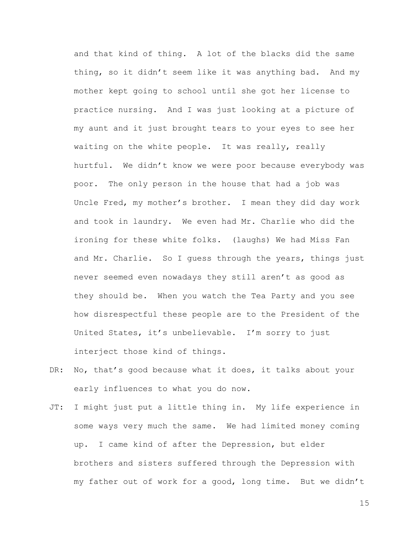and that kind of thing. A lot of the blacks did the same thing, so it didn't seem like it was anything bad. And my mother kept going to school until she got her license to practice nursing. And I was just looking at a picture of my aunt and it just brought tears to your eyes to see her waiting on the white people. It was really, really hurtful. We didn't know we were poor because everybody was poor. The only person in the house that had a job was Uncle Fred, my mother's brother. I mean they did day work and took in laundry. We even had Mr. Charlie who did the ironing for these white folks. (laughs) We had Miss Fan and Mr. Charlie. So I guess through the years, things just never seemed even nowadays they still aren't as good as they should be. When you watch the Tea Party and you see how disrespectful these people are to the President of the United States, it's unbelievable. I'm sorry to just interject those kind of things.

- DR: No, that's good because what it does, it talks about your early influences to what you do now.
- JT: I might just put a little thing in. My life experience in some ways very much the same. We had limited money coming up. I came kind of after the Depression, but elder brothers and sisters suffered through the Depression with my father out of work for a good, long time. But we didn't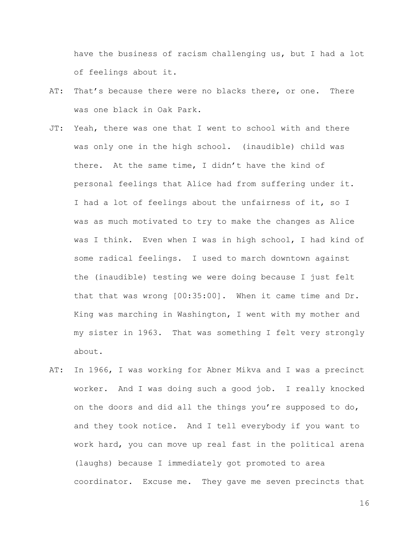have the business of racism challenging us, but I had a lot of feelings about it.

- AT: That's because there were no blacks there, or one. There was one black in Oak Park.
- JT: Yeah, there was one that I went to school with and there was only one in the high school. (inaudible) child was there. At the same time, I didn't have the kind of personal feelings that Alice had from suffering under it. I had a lot of feelings about the unfairness of it, so I was as much motivated to try to make the changes as Alice was I think. Even when I was in high school, I had kind of some radical feelings. I used to march downtown against the (inaudible) testing we were doing because I just felt that that was wrong [00:35:00]. When it came time and Dr. King was marching in Washington, I went with my mother and my sister in 1963. That was something I felt very strongly about.
- AT: In 1966, I was working for Abner Mikva and I was a precinct worker. And I was doing such a good job. I really knocked on the doors and did all the things you're supposed to do, and they took notice. And I tell everybody if you want to work hard, you can move up real fast in the political arena (laughs) because I immediately got promoted to area coordinator. Excuse me. They gave me seven precincts that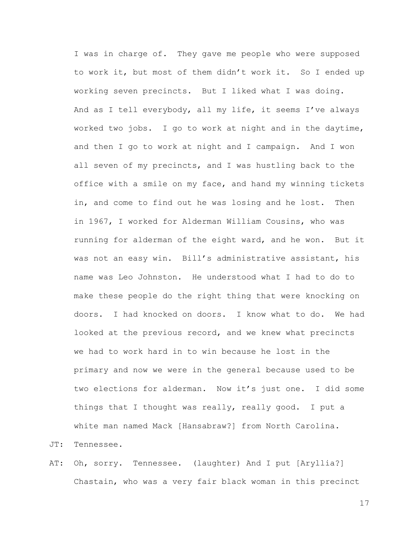I was in charge of. They gave me people who were supposed to work it, but most of them didn't work it. So I ended up working seven precincts. But I liked what I was doing. And as I tell everybody, all my life, it seems I've always worked two jobs. I go to work at night and in the daytime, and then I go to work at night and I campaign. And I won all seven of my precincts, and I was hustling back to the office with a smile on my face, and hand my winning tickets in, and come to find out he was losing and he lost. Then in 1967, I worked for Alderman William Cousins, who was running for alderman of the eight ward, and he won. But it was not an easy win. Bill's administrative assistant, his name was Leo Johnston. He understood what I had to do to make these people do the right thing that were knocking on doors. I had knocked on doors. I know what to do. We had looked at the previous record, and we knew what precincts we had to work hard in to win because he lost in the primary and now we were in the general because used to be two elections for alderman. Now it's just one. I did some things that I thought was really, really good. I put a white man named Mack [Hansabraw?] from North Carolina.

JT: Tennessee.

AT: Oh, sorry. Tennessee. (laughter) And I put [Aryllia?] Chastain, who was a very fair black woman in this precinct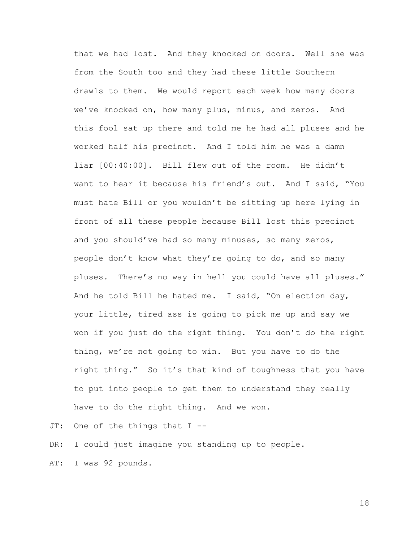that we had lost. And they knocked on doors. Well she was from the South too and they had these little Southern drawls to them. We would report each week how many doors we've knocked on, how many plus, minus, and zeros. And this fool sat up there and told me he had all pluses and he worked half his precinct. And I told him he was a damn liar [00:40:00]. Bill flew out of the room. He didn't want to hear it because his friend's out. And I said, "You must hate Bill or you wouldn't be sitting up here lying in front of all these people because Bill lost this precinct and you should've had so many minuses, so many zeros, people don't know what they're going to do, and so many pluses. There's no way in hell you could have all pluses." And he told Bill he hated me. I said, "On election day, your little, tired ass is going to pick me up and say we won if you just do the right thing. You don't do the right thing, we're not going to win. But you have to do the right thing." So it's that kind of toughness that you have to put into people to get them to understand they really have to do the right thing. And we won.

JT: One of the things that I --

DR: I could just imagine you standing up to people.

AT: I was 92 pounds.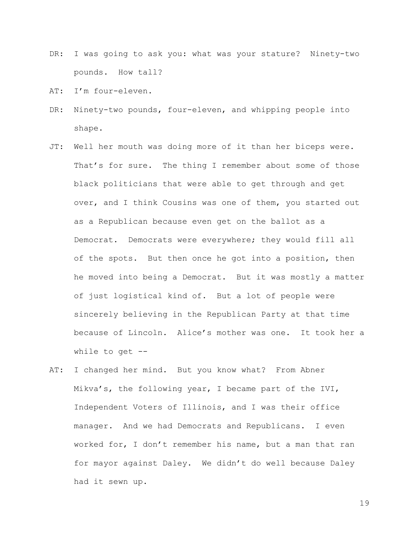- DR: I was going to ask you: what was your stature? Ninety-two pounds. How tall?
- AT: I'm four-eleven.
- DR: Ninety-two pounds, four-eleven, and whipping people into shape.
- JT: Well her mouth was doing more of it than her biceps were. That's for sure. The thing I remember about some of those black politicians that were able to get through and get over, and I think Cousins was one of them, you started out as a Republican because even get on the ballot as a Democrat. Democrats were everywhere; they would fill all of the spots. But then once he got into a position, then he moved into being a Democrat. But it was mostly a matter of just logistical kind of. But a lot of people were sincerely believing in the Republican Party at that time because of Lincoln. Alice's mother was one. It took her a while to get  $-$ -
- AT: I changed her mind. But you know what? From Abner Mikva's, the following year, I became part of the IVI, Independent Voters of Illinois, and I was their office manager. And we had Democrats and Republicans. I even worked for, I don't remember his name, but a man that ran for mayor against Daley. We didn't do well because Daley had it sewn up.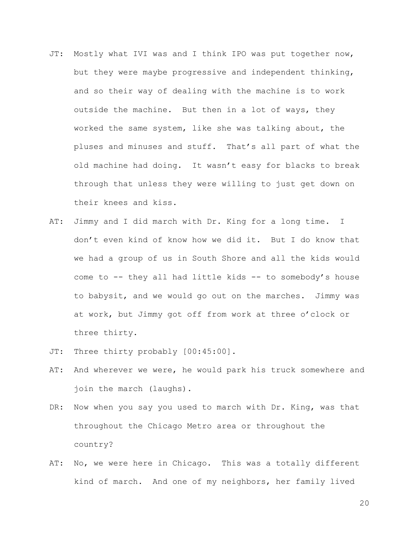- JT: Mostly what IVI was and I think IPO was put together now, but they were maybe progressive and independent thinking, and so their way of dealing with the machine is to work outside the machine. But then in a lot of ways, they worked the same system, like she was talking about, the pluses and minuses and stuff. That's all part of what the old machine had doing. It wasn't easy for blacks to break through that unless they were willing to just get down on their knees and kiss.
- AT: Jimmy and I did march with Dr. King for a long time. I don't even kind of know how we did it. But I do know that we had a group of us in South Shore and all the kids would come to -- they all had little kids -- to somebody's house to babysit, and we would go out on the marches. Jimmy was at work, but Jimmy got off from work at three o'clock or three thirty.
- JT: Three thirty probably [00:45:00].
- AT: And wherever we were, he would park his truck somewhere and join the march (laughs).
- DR: Now when you say you used to march with Dr. King, was that throughout the Chicago Metro area or throughout the country?
- AT: No, we were here in Chicago. This was a totally different kind of march. And one of my neighbors, her family lived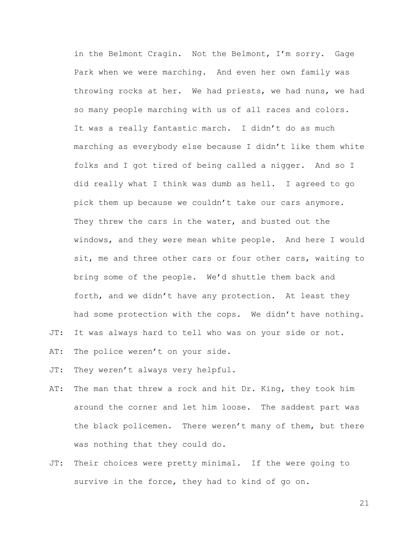in the Belmont Cragin. Not the Belmont, I'm sorry. Gage Park when we were marching. And even her own family was throwing rocks at her. We had priests, we had nuns, we had so many people marching with us of all races and colors. It was a really fantastic march. I didn't do as much marching as everybody else because I didn't like them white folks and I got tired of being called a nigger. And so I did really what I think was dumb as hell. I agreed to go pick them up because we couldn't take our cars anymore. They threw the cars in the water, and busted out the windows, and they were mean white people. And here I would sit, me and three other cars or four other cars, waiting to bring some of the people. We'd shuttle them back and forth, and we didn't have any protection. At least they had some protection with the cops. We didn't have nothing.

- JT: It was always hard to tell who was on your side or not.
- AT: The police weren't on your side.
- JT: They weren't always very helpful.
- AT: The man that threw a rock and hit Dr. King, they took him around the corner and let him loose. The saddest part was the black policemen. There weren't many of them, but there was nothing that they could do.
- JT: Their choices were pretty minimal. If the were going to survive in the force, they had to kind of go on.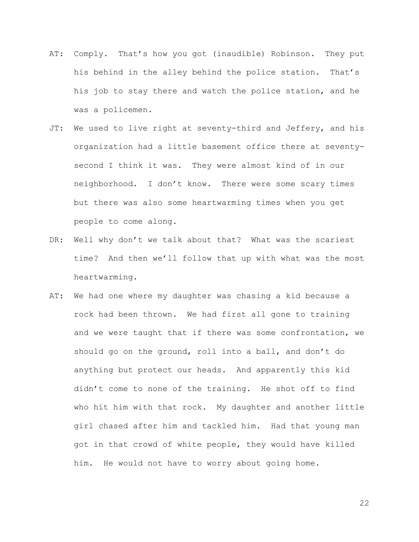- AT: Comply. That's how you got (inaudible) Robinson. They put his behind in the alley behind the police station. That's his job to stay there and watch the police station, and he was a policemen.
- JT: We used to live right at seventy-third and Jeffery, and his organization had a little basement office there at seventysecond I think it was. They were almost kind of in our neighborhood. I don't know. There were some scary times but there was also some heartwarming times when you get people to come along.
- DR: Well why don't we talk about that? What was the scariest time? And then we'll follow that up with what was the most heartwarming.
- AT: We had one where my daughter was chasing a kid because a rock had been thrown. We had first all gone to training and we were taught that if there was some confrontation, we should go on the ground, roll into a ball, and don't do anything but protect our heads. And apparently this kid didn't come to none of the training. He shot off to find who hit him with that rock. My daughter and another little girl chased after him and tackled him. Had that young man got in that crowd of white people, they would have killed him. He would not have to worry about going home.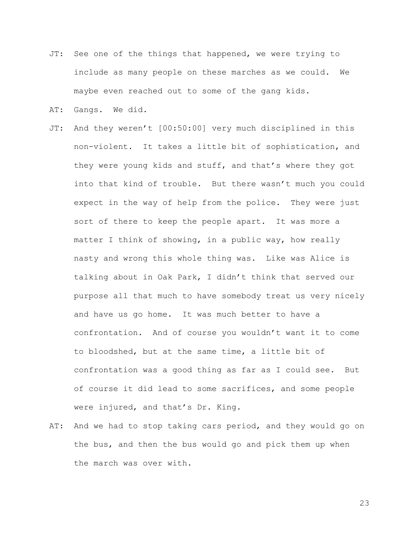- JT: See one of the things that happened, we were trying to include as many people on these marches as we could. We maybe even reached out to some of the gang kids.
- AT: Gangs. We did.
- JT: And they weren't [00:50:00] very much disciplined in this non-violent. It takes a little bit of sophistication, and they were young kids and stuff, and that's where they got into that kind of trouble. But there wasn't much you could expect in the way of help from the police. They were just sort of there to keep the people apart. It was more a matter I think of showing, in a public way, how really nasty and wrong this whole thing was. Like was Alice is talking about in Oak Park, I didn't think that served our purpose all that much to have somebody treat us very nicely and have us go home. It was much better to have a confrontation. And of course you wouldn't want it to come to bloodshed, but at the same time, a little bit of confrontation was a good thing as far as I could see. But of course it did lead to some sacrifices, and some people were injured, and that's Dr. King.
- AT: And we had to stop taking cars period, and they would go on the bus, and then the bus would go and pick them up when the march was over with.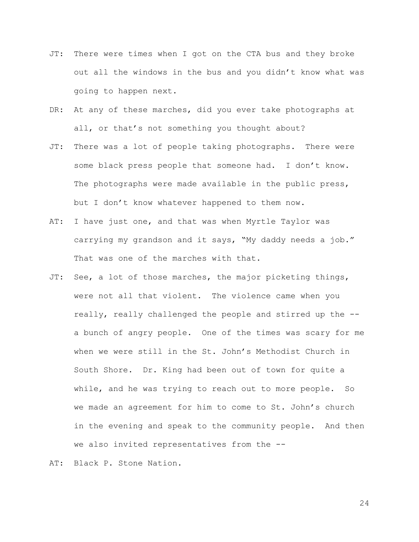- JT: There were times when I got on the CTA bus and they broke out all the windows in the bus and you didn't know what was going to happen next.
- DR: At any of these marches, did you ever take photographs at all, or that's not something you thought about?
- JT: There was a lot of people taking photographs. There were some black press people that someone had. I don't know. The photographs were made available in the public press, but I don't know whatever happened to them now.
- AT: I have just one, and that was when Myrtle Taylor was carrying my grandson and it says, "My daddy needs a job." That was one of the marches with that.
- JT: See, a lot of those marches, the major picketing things, were not all that violent. The violence came when you really, really challenged the people and stirred up the - a bunch of angry people. One of the times was scary for me when we were still in the St. John's Methodist Church in South Shore. Dr. King had been out of town for quite a while, and he was trying to reach out to more people. So we made an agreement for him to come to St. John's church in the evening and speak to the community people. And then we also invited representatives from the --

AT: Black P. Stone Nation.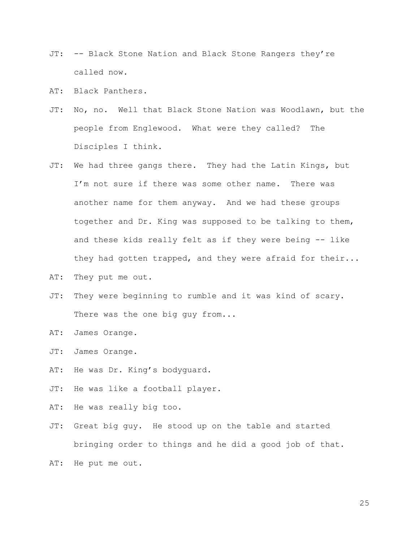- JT: -- Black Stone Nation and Black Stone Rangers they're called now.
- AT: Black Panthers.
- JT: No, no. Well that Black Stone Nation was Woodlawn, but the people from Englewood. What were they called? The Disciples I think.
- JT: We had three gangs there. They had the Latin Kings, but I'm not sure if there was some other name. There was another name for them anyway. And we had these groups together and Dr. King was supposed to be talking to them, and these kids really felt as if they were being -- like they had gotten trapped, and they were afraid for their...
- AT: They put me out.
- JT: They were beginning to rumble and it was kind of scary. There was the one big guy from...
- AT: James Orange.
- JT: James Orange.
- AT: He was Dr. King's bodyguard.
- JT: He was like a football player.
- AT: He was really big too.
- JT: Great big guy. He stood up on the table and started bringing order to things and he did a good job of that.

AT: He put me out.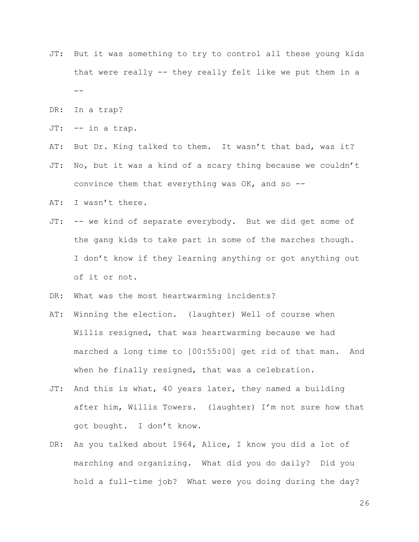- JT: But it was something to try to control all these young kids that were really -- they really felt like we put them in a  $- -$
- DR: In a trap?
- JT: -- in a trap.
- AT: But Dr. King talked to them. It wasn't that bad, was it?
- JT: No, but it was a kind of a scary thing because we couldn't convince them that everything was  $OK$ , and so  $-$ -
- AT: I wasn't there.
- JT: -- we kind of separate everybody. But we did get some of the gang kids to take part in some of the marches though. I don't know if they learning anything or got anything out of it or not.
- DR: What was the most heartwarming incidents?
- AT: Winning the election. (laughter) Well of course when Willis resigned, that was heartwarming because we had marched a long time to [00:55:00] get rid of that man. And when he finally resigned, that was a celebration.
- JT: And this is what, 40 years later, they named a building after him, Willis Towers. (laughter) I'm not sure how that got bought. I don't know.
- DR: As you talked about 1964, Alice, I know you did a lot of marching and organizing. What did you do daily? Did you hold a full-time job? What were you doing during the day?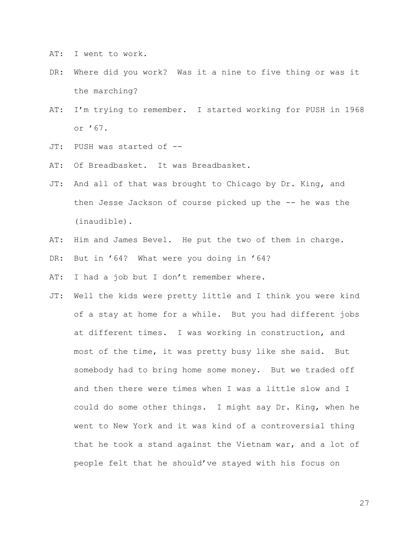AT: I went to work.

- DR: Where did you work? Was it a nine to five thing or was it the marching?
- AT: I'm trying to remember. I started working for PUSH in 1968 or '67.
- JT: PUSH was started of --
- AT: Of Breadbasket. It was Breadbasket.
- JT: And all of that was brought to Chicago by Dr. King, and then Jesse Jackson of course picked up the -- he was the (inaudible).
- AT: Him and James Bevel. He put the two of them in charge.
- DR: But in '64? What were you doing in '64?
- AT: I had a job but I don't remember where.
- JT: Well the kids were pretty little and I think you were kind of a stay at home for a while. But you had different jobs at different times. I was working in construction, and most of the time, it was pretty busy like she said. But somebody had to bring home some money. But we traded off and then there were times when I was a little slow and I could do some other things. I might say Dr. King, when he went to New York and it was kind of a controversial thing that he took a stand against the Vietnam war, and a lot of people felt that he should've stayed with his focus on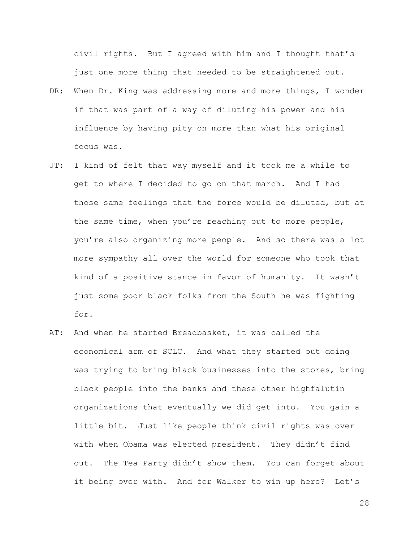civil rights. But I agreed with him and I thought that's just one more thing that needed to be straightened out.

- DR: When Dr. King was addressing more and more things, I wonder if that was part of a way of diluting his power and his influence by having pity on more than what his original focus was.
- JT: I kind of felt that way myself and it took me a while to get to where I decided to go on that march. And I had those same feelings that the force would be diluted, but at the same time, when you're reaching out to more people, you're also organizing more people. And so there was a lot more sympathy all over the world for someone who took that kind of a positive stance in favor of humanity. It wasn't just some poor black folks from the South he was fighting for.
- AT: And when he started Breadbasket, it was called the economical arm of SCLC. And what they started out doing was trying to bring black businesses into the stores, bring black people into the banks and these other highfalutin organizations that eventually we did get into. You gain a little bit. Just like people think civil rights was over with when Obama was elected president. They didn't find out. The Tea Party didn't show them. You can forget about it being over with. And for Walker to win up here? Let's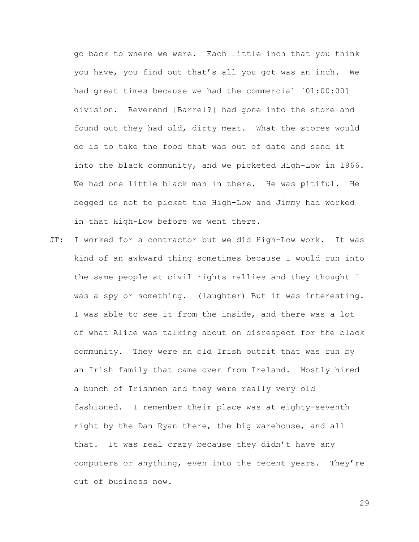go back to where we were. Each little inch that you think you have, you find out that's all you got was an inch. We had great times because we had the commercial [01:00:00] division. Reverend [Barrel?] had gone into the store and found out they had old, dirty meat. What the stores would do is to take the food that was out of date and send it into the black community, and we picketed High-Low in 1966. We had one little black man in there. He was pitiful. He begged us not to picket the High-Low and Jimmy had worked in that High-Low before we went there.

JT: I worked for a contractor but we did High-Low work. It was kind of an awkward thing sometimes because I would run into the same people at civil rights rallies and they thought I was a spy or something. (laughter) But it was interesting. I was able to see it from the inside, and there was a lot of what Alice was talking about on disrespect for the black community. They were an old Irish outfit that was run by an Irish family that came over from Ireland. Mostly hired a bunch of Irishmen and they were really very old fashioned. I remember their place was at eighty-seventh right by the Dan Ryan there, the big warehouse, and all that. It was real crazy because they didn't have any computers or anything, even into the recent years. They're out of business now.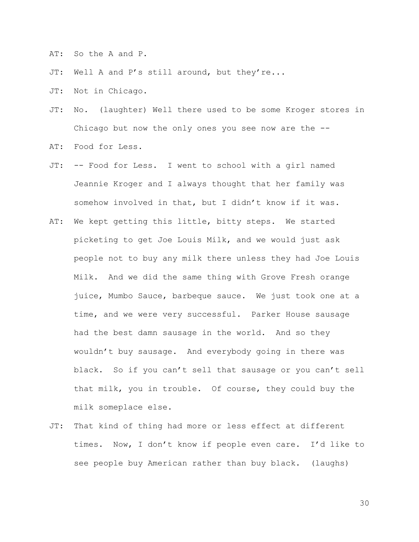AT: So the A and P.

- JT: Well A and P's still around, but they're...
- JT: Not in Chicago.
- JT: No. (laughter) Well there used to be some Kroger stores in Chicago but now the only ones you see now are the  $-$ -
- AT: Food for Less.
- JT: -- Food for Less. I went to school with a girl named Jeannie Kroger and I always thought that her family was somehow involved in that, but I didn't know if it was.
- AT: We kept getting this little, bitty steps. We started picketing to get Joe Louis Milk, and we would just ask people not to buy any milk there unless they had Joe Louis Milk. And we did the same thing with Grove Fresh orange juice, Mumbo Sauce, barbeque sauce. We just took one at a time, and we were very successful. Parker House sausage had the best damn sausage in the world. And so they wouldn't buy sausage. And everybody going in there was black. So if you can't sell that sausage or you can't sell that milk, you in trouble. Of course, they could buy the milk someplace else.
- JT: That kind of thing had more or less effect at different times. Now, I don't know if people even care. I'd like to see people buy American rather than buy black. (laughs)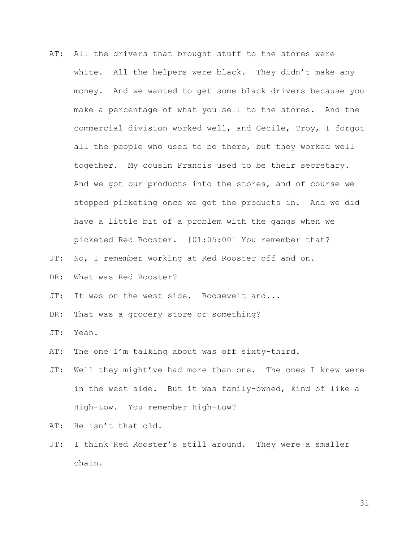- AT: All the drivers that brought stuff to the stores were white. All the helpers were black. They didn't make any money. And we wanted to get some black drivers because you make a percentage of what you sell to the stores. And the commercial division worked well, and Cecile, Troy, I forgot all the people who used to be there, but they worked well together. My cousin Francis used to be their secretary. And we got our products into the stores, and of course we stopped picketing once we got the products in. And we did have a little bit of a problem with the gangs when we picketed Red Rooster. [01:05:00] You remember that?
- JT: No, I remember working at Red Rooster off and on.
- DR: What was Red Rooster?
- JT: It was on the west side. Roosevelt and...
- DR: That was a grocery store or something?

JT: Yeah.

- AT: The one I'm talking about was off sixty-third.
- JT: Well they might've had more than one. The ones I knew were in the west side. But it was family-owned, kind of like a High-Low. You remember High-Low?

AT: He isn't that old.

JT: I think Red Rooster's still around. They were a smaller chain.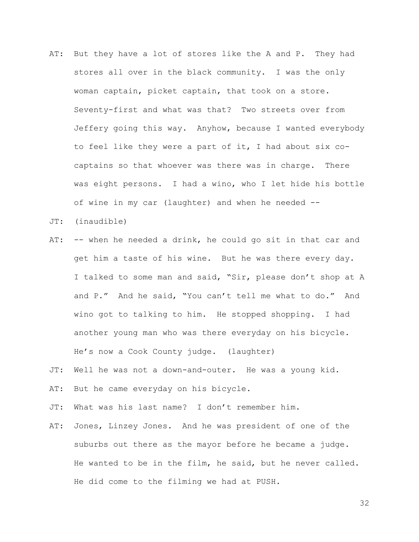- AT: But they have a lot of stores like the A and P. They had stores all over in the black community. I was the only woman captain, picket captain, that took on a store. Seventy-first and what was that? Two streets over from Jeffery going this way. Anyhow, because I wanted everybody to feel like they were a part of it, I had about six cocaptains so that whoever was there was in charge. There was eight persons. I had a wino, who I let hide his bottle of wine in my car (laughter) and when he needed --
- JT: (inaudible)
- AT: -- when he needed a drink, he could go sit in that car and get him a taste of his wine. But he was there every day. I talked to some man and said, "Sir, please don't shop at A and P." And he said, "You can't tell me what to do." And wino got to talking to him. He stopped shopping. I had another young man who was there everyday on his bicycle. He's now a Cook County judge. (laughter)
- JT: Well he was not a down-and-outer. He was a young kid.
- AT: But he came everyday on his bicycle.
- JT: What was his last name? I don't remember him.
- AT: Jones, Linzey Jones. And he was president of one of the suburbs out there as the mayor before he became a judge. He wanted to be in the film, he said, but he never called. He did come to the filming we had at PUSH.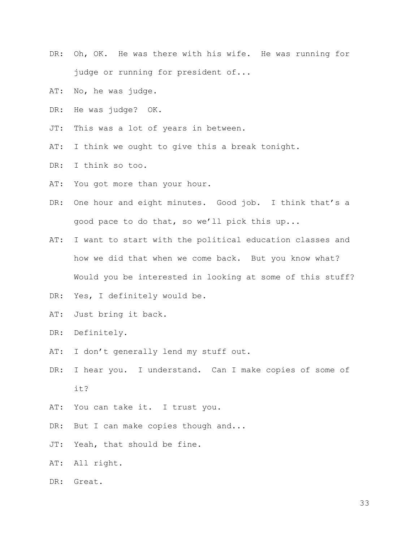- DR: Oh, OK. He was there with his wife. He was running for judge or running for president of...
- AT: No, he was judge.
- DR: He was judge? OK.
- JT: This was a lot of years in between.
- AT: I think we ought to give this a break tonight.
- DR: I think so too.
- AT: You got more than your hour.
- DR: One hour and eight minutes. Good job. I think that's a good pace to do that, so we'll pick this up...
- AT: I want to start with the political education classes and how we did that when we come back. But you know what? Would you be interested in looking at some of this stuff?
- DR: Yes, I definitely would be.
- AT: Just bring it back.
- DR: Definitely.
- AT: I don't generally lend my stuff out.
- DR: I hear you. I understand. Can I make copies of some of it?
- AT: You can take it. I trust you.
- DR: But I can make copies though and...
- JT: Yeah, that should be fine.
- AT: All right.
- DR: Great.